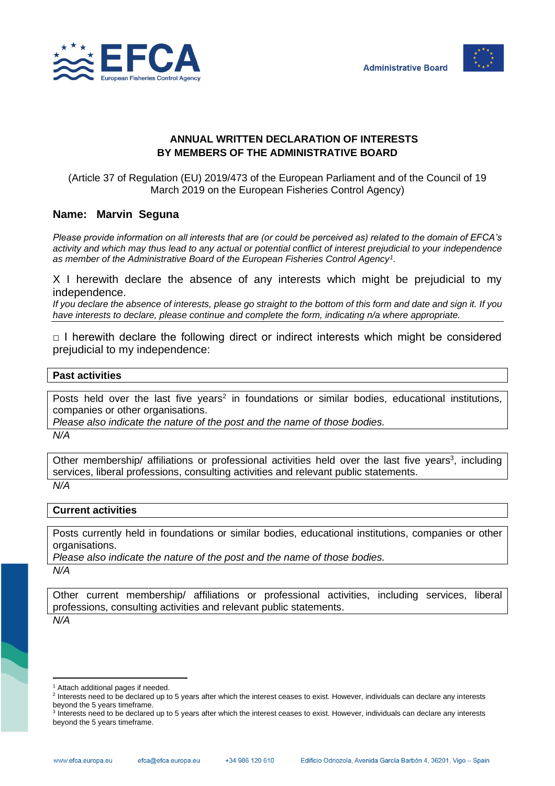



## **ANNUAL WRITTEN DECLARATION OF INTERESTS BY MEMBERS OF THE ADMINISTRATIVE BOARD**

(Article 37 of Regulation (EU) 2019/473 of the European Parliament and of the Council of 19 March 2019 on the European Fisheries Control Agency)

## **Name: Marvin Seguna**

*Please provide information on all interests that are (or could be perceived as) related to the domain of EFCA's activity and which may thus lead to any actual or potential conflict of interest prejudicial to your independence as member of the Administrative Board of the European Fisheries Control Agency<sup>1</sup> .*

X I herewith declare the absence of any interests which might be prejudicial to my independence.

*If you declare the absence of interests, please go straight to the bottom of this form and date and sign it. If you have interests to declare, please continue and complete the form, indicating n/a where appropriate.*

 $\Box$  I herewith declare the following direct or indirect interests which might be considered prejudicial to my independence:

## **Past activities**

Posts held over the last five years<sup>2</sup> in foundations or similar bodies, educational institutions, companies or other organisations.

*Please also indicate the nature of the post and the name of those bodies.*

*N/A*

Other membership/ affiliations or professional activities held over the last five years<sup>3</sup>, including services, liberal professions, consulting activities and relevant public statements. *N/A*

## **Current activities**

Posts currently held in foundations or similar bodies, educational institutions, companies or other organisations.

*Please also indicate the nature of the post and the name of those bodies.*

*N/A*

Other current membership/ affiliations or professional activities, including services, liberal professions, consulting activities and relevant public statements.

*N/A*

<sup>&</sup>lt;sup>1</sup> Attach additional pages if needed.

<sup>&</sup>lt;sup>2</sup> Interests need to be declared up to 5 years after which the interest ceases to exist. However, individuals can declare any interests beyond the 5 years timeframe.

<sup>&</sup>lt;sup>3</sup> Interests need to be declared up to 5 years after which the interest ceases to exist. However, individuals can declare any interests beyond the 5 years timeframe.